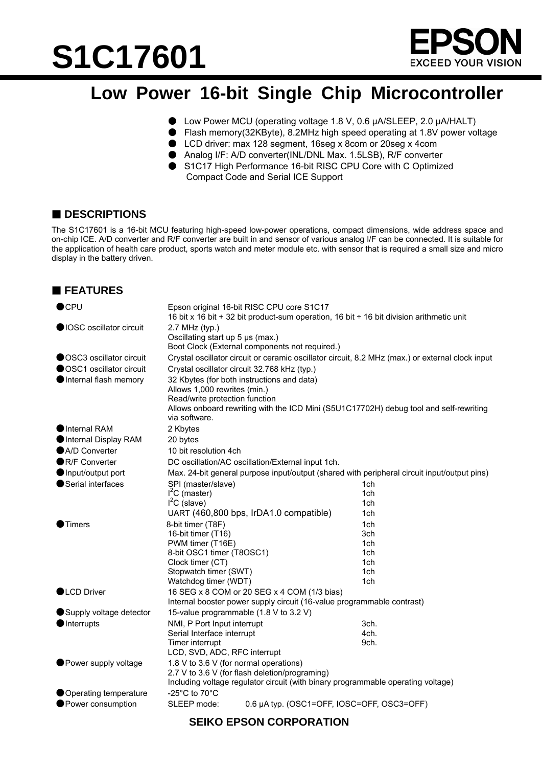# **S1C17601**



### **Low Power 16-bit Single Chip Microcontroller**

- Low Power MCU (operating voltage 1.8 V, 0.6 μA/SLEEP, 2.0 μA/HALT)
- Flash memory(32KByte), 8.2MHz high speed operating at 1.8V power voltage
- LCD driver: max 128 segment, 16seg x 8com or 20seg x 4com
- Analog I/F: A/D converter(INL/DNL Max. 1.5LSB), R/F converter
- S1C17 High Performance 16-bit RISC CPU Core with C Optimized Compact Code and Serial ICE Support

#### **■ DESCRIPTIONS**

The S1C17601 is a 16-bit MCU featuring high-speed low-power operations, compact dimensions, wide address space and on-chip ICE. A/D converter and R/F converter are built in and sensor of various analog I/F can be connected. It is suitable for the application of health care product, sports watch and meter module etc. with sensor that is required a small size and micro display in the battery driven.

#### **FEATURES**

| $\bullet$ CPU             | Epson original 16-bit RISC CPU core S1C17<br>16 bit x 16 bit + 32 bit product-sum operation, 16 bit $\div$ 16 bit division arithmetic unit                                                                              |                          |  |
|---------------------------|-------------------------------------------------------------------------------------------------------------------------------------------------------------------------------------------------------------------------|--------------------------|--|
| lOSC oscillator circuit   | 2.7 MHz (typ.)<br>Oscillating start up 5 µs (max.)<br>Boot Clock (External components not required.)                                                                                                                    |                          |  |
| ● OSC3 oscillator circuit | Crystal oscillator circuit or ceramic oscillator circuit, 8.2 MHz (max.) or external clock input                                                                                                                        |                          |  |
| ● OSC1 oscillator circuit | Crystal oscillator circuit 32.768 kHz (typ.)                                                                                                                                                                            |                          |  |
| Internal flash memory     | 32 Kbytes (for both instructions and data)<br>Allows 1,000 rewrites (min.)<br>Read/write protection function<br>Allows onboard rewriting with the ICD Mini (S5U1C17702H) debug tool and self-rewriting<br>via software. |                          |  |
| Internal RAM              | 2 Kbytes                                                                                                                                                                                                                |                          |  |
| Internal Display RAM      | 20 bytes                                                                                                                                                                                                                |                          |  |
| A/D Converter             | 10 bit resolution 4ch                                                                                                                                                                                                   |                          |  |
| ●R/F Converter            | DC oscillation/AC oscillation/External input 1ch.                                                                                                                                                                       |                          |  |
| Input/output port         | Max. 24-bit general purpose input/output (shared with peripheral circuit input/output pins)                                                                                                                             |                          |  |
| Serial interfaces         | SPI (master/slave)<br>$I2C$ (master)<br>$I2C$ (slave)<br>UART (460,800 bps, IrDA1.0 compatible)                                                                                                                         | 1ch<br>1ch<br>1ch<br>1ch |  |
| Timers                    | 8-bit timer (T8F)                                                                                                                                                                                                       | 1ch                      |  |
|                           | 16-bit timer (T16)                                                                                                                                                                                                      | 3ch                      |  |
|                           | PWM timer (T16E)                                                                                                                                                                                                        | 1ch                      |  |
|                           | 8-bit OSC1 timer (T8OSC1)                                                                                                                                                                                               | 1ch                      |  |
|                           | Clock timer (CT)<br>Stopwatch timer (SWT)                                                                                                                                                                               | 1ch<br>1ch               |  |
|                           | Watchdog timer (WDT)                                                                                                                                                                                                    | 1ch                      |  |
| <b>OLCD Driver</b>        | 16 SEG x 8 COM or 20 SEG x 4 COM (1/3 bias)<br>Internal booster power supply circuit (16-value programmable contrast)                                                                                                   |                          |  |
| Supply voltage detector   | 15-value programmable (1.8 V to 3.2 V)                                                                                                                                                                                  |                          |  |
| Interrupts                | NMI, P Port Input interrupt                                                                                                                                                                                             | 3ch.                     |  |
|                           | Serial Interface interrupt                                                                                                                                                                                              | 4ch.                     |  |
|                           | Timer interrupt                                                                                                                                                                                                         | 9ch.                     |  |
| ● Power supply voltage    | LCD, SVD, ADC, RFC interrupt<br>1.8 V to 3.6 V (for normal operations)<br>2.7 V to 3.6 V (for flash deletion/programing)<br>Including voltage regulator circuit (with binary programmable operating voltage)            |                          |  |
| Operating temperature     | -25 $^{\circ}$ C to 70 $^{\circ}$ C                                                                                                                                                                                     |                          |  |
| ● Power consumption       | SLEEP mode:<br>0.6 µA typ. (OSC1=OFF, IOSC=OFF, OSC3=OFF)                                                                                                                                                               |                          |  |

#### **SEIKO EPSON CORPORATION**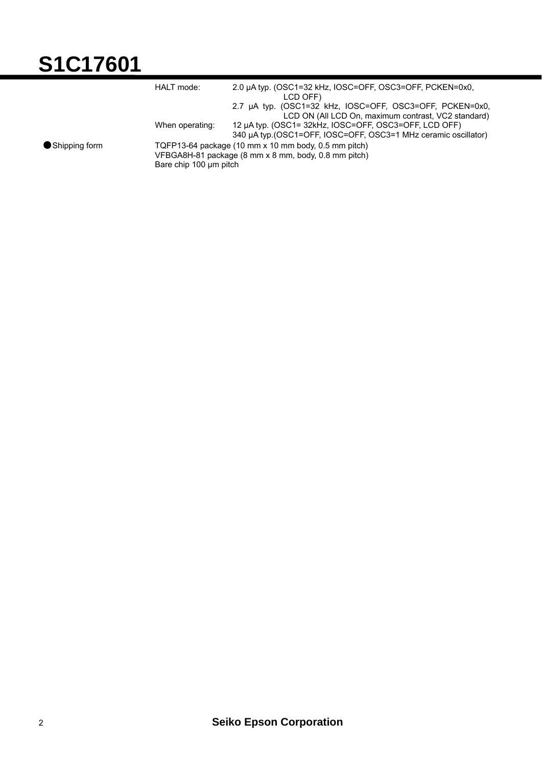## **S1C17601**

|                 | HALT mode:                                                                                                                             | 2.0 µA typ. (OSC1=32 kHz, IOSC=OFF, OSC3=OFF, PCKEN=0x0,<br>LCD OFF)                                                     |
|-----------------|----------------------------------------------------------------------------------------------------------------------------------------|--------------------------------------------------------------------------------------------------------------------------|
|                 |                                                                                                                                        | 2.7 µA typ. (OSC1=32 kHz, IOSC=OFF, OSC3=OFF, PCKEN=0x0,<br>LCD ON (All LCD On, maximum contrast, VC2 standard)          |
|                 | When operating:                                                                                                                        | 12 µA typ. (OSC1= 32kHz, IOSC=OFF, OSC3=OFF, LCD OFF)<br>340 µA typ. (OSC1=OFF, IOSC=OFF, OSC3=1 MHz ceramic oscillator) |
| ● Shipping form | TQFP13-64 package (10 mm x 10 mm body, 0.5 mm pitch)<br>VFBGA8H-81 package (8 mm x 8 mm, body, 0.8 mm pitch)<br>Bare chip 100 µm pitch |                                                                                                                          |